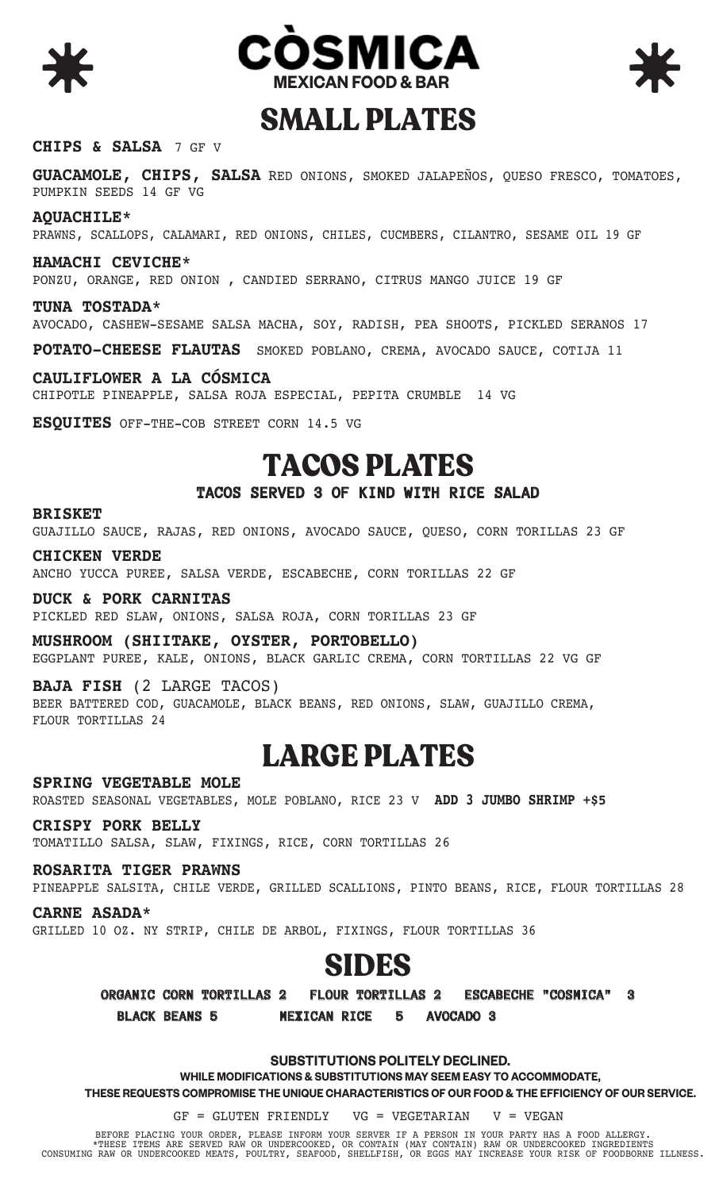



$$
\color{blue}\bigstar
$$

# SMALL PLATES

### **CHIPS & SALSA** 7 GF V

**GUACAMOLE, CHIPS, SALSA** RED ONIONS, SMOKED JALAPEÑOS, QUESO FRESCO, TOMATOES, PUMPKIN SEEDS 14 GF VG

#### **AQUACHILE\***

PRAWNS, SCALLOPS, CALAMARI, RED ONIONS, CHILES, CUCMBERS, CILANTRO, SESAME OIL 19 GF

### **HAMACHI CEVICHE\***

PONZU, ORANGE, RED ONION , CANDIED SERRANO, CITRUS MANGO JUICE 19 GF

### **TUNA TOSTADA\***

AVOCADO, CASHEW-SESAME SALSA MACHA, SOY, RADISH, PEA SHOOTS, PICKLED SERANOS 17

**POTATO-CHEESE FLAUTAS** SMOKED POBLANO, CREMA, AVOCADO SAUCE, COTIJA 11

### **CAULIFLOWER A LA CÓSMICA**

CHIPOTLE PINEAPPLE, SALSA ROJA ESPECIAL, PEPITA CRUMBLE 14 VG

**ESQUITES** OFF-THE-COB STREET CORN 14.5 VG

### TACOS PLATES

### **TACOS SERVED 3 OF KIND WITH RICE SALAD**

**BRISKET** GUAJILLO SAUCE, RAJAS, RED ONIONS, AVOCADO SAUCE, QUESO, CORN TORILLAS 23 GF

#### **CHICKEN VERDE**

ANCHO YUCCA PUREE, SALSA VERDE, ESCABECHE, CORN TORILLAS 22 GF

**DUCK & PORK CARNITAS** PICKLED RED SLAW, ONIONS, SALSA ROJA, CORN TORILLAS 23 GF

### **MUSHROOM (SHIITAKE, OYSTER, PORTOBELLO)**

EGGPLANT PUREE, KALE, ONIONS, BLACK GARLIC CREMA, CORN TORTILLAS 22 VG GF

### **BAJA FISH** (2 LARGE TACOS)

BEER BATTERED COD, GUACAMOLE, BLACK BEANS, RED ONIONS, SLAW, GUAJILLO CREMA, FLOUR TORTILLAS 24

### LARGE PLATES

### **SPRING VEGETABLE MOLE** ROASTED SEASONAL VEGETABLES, MOLE POBLANO, RICE 23 V **ADD 3 JUMBO SHRIMP +\$5**

**CRISPY PORK BELLY**  TOMATILLO SALSA, SLAW, FIXINGS, RICE, CORN TORTILLAS 26

### **ROSARITA TIGER PRAWNS**

PINEAPPLE SALSITA, CHILE VERDE, GRILLED SCALLIONS, PINTO BEANS, RICE, FLOUR TORTILLAS 28

**CARNE ASADA\*** GRILLED 10 OZ. NY STRIP, CHILE DE ARBOL, FIXINGS, FLOUR TORTILLAS 36

### SIDES

**ORGANIC CORN TORTILLAS 2 FLOUR TORTILLAS 2 ESCABECHE "COSMICA" 3 BLACK BEANS 5 MEXICAN RICE 5 AVOCADO 3** 

### **SUBSTITUTIONS POLITELY DECLINED.**

**WHILE MODIFICATIONS & SUBSTITUTIONS MAY SEEM EASY TO ACCOMMODATE,** 

**THESE REQUESTS COMPROMISE THE UNIQUE CHARACTERISTICS OF OUR FOOD & THE EFFICIENCY OF OUR SERVICE.**

 $GF = GLUTEN FRIENDLY$  VG = VEGETARIAN V = VEGAN

BEFORE PLACING YOUR ORDER, PLEASE INFORM YOUR SERVER IF A PERSON IN YOUR PARTY HAS A FOOD ALLERGY. \*THESE ITEMS ARE SERVED RAW OR UNDERCOOKED, OR CONTAIN (MAY CONTAIN) RAW OR UNDERCOOKED INGREDIENTS CONSUMING RAW OR UNDERCOOKED MEATS, POULTRY, SEAFOOD, SHELLFISH, OR EGGS MAY INCREASE YOUR RISK OF FOODBORNE ILLNESS.